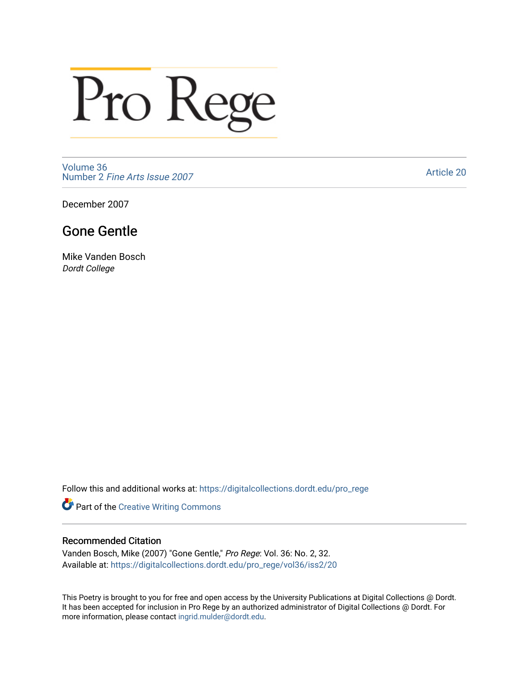## Pro Rege

[Volume 36](https://digitalcollections.dordt.edu/pro_rege/vol36) Number 2 [Fine Arts Issue 2007](https://digitalcollections.dordt.edu/pro_rege/vol36/iss2) 

[Article 20](https://digitalcollections.dordt.edu/pro_rege/vol36/iss2/20) 

December 2007

## Gone Gentle

Mike Vanden Bosch Dordt College

Follow this and additional works at: [https://digitalcollections.dordt.edu/pro\\_rege](https://digitalcollections.dordt.edu/pro_rege?utm_source=digitalcollections.dordt.edu%2Fpro_rege%2Fvol36%2Fiss2%2F20&utm_medium=PDF&utm_campaign=PDFCoverPages) 

Part of the [Creative Writing Commons](http://network.bepress.com/hgg/discipline/574?utm_source=digitalcollections.dordt.edu%2Fpro_rege%2Fvol36%2Fiss2%2F20&utm_medium=PDF&utm_campaign=PDFCoverPages) 

## Recommended Citation

Vanden Bosch, Mike (2007) "Gone Gentle," Pro Rege: Vol. 36: No. 2, 32. Available at: [https://digitalcollections.dordt.edu/pro\\_rege/vol36/iss2/20](https://digitalcollections.dordt.edu/pro_rege/vol36/iss2/20?utm_source=digitalcollections.dordt.edu%2Fpro_rege%2Fvol36%2Fiss2%2F20&utm_medium=PDF&utm_campaign=PDFCoverPages)

This Poetry is brought to you for free and open access by the University Publications at Digital Collections @ Dordt. It has been accepted for inclusion in Pro Rege by an authorized administrator of Digital Collections @ Dordt. For more information, please contact [ingrid.mulder@dordt.edu.](mailto:ingrid.mulder@dordt.edu)